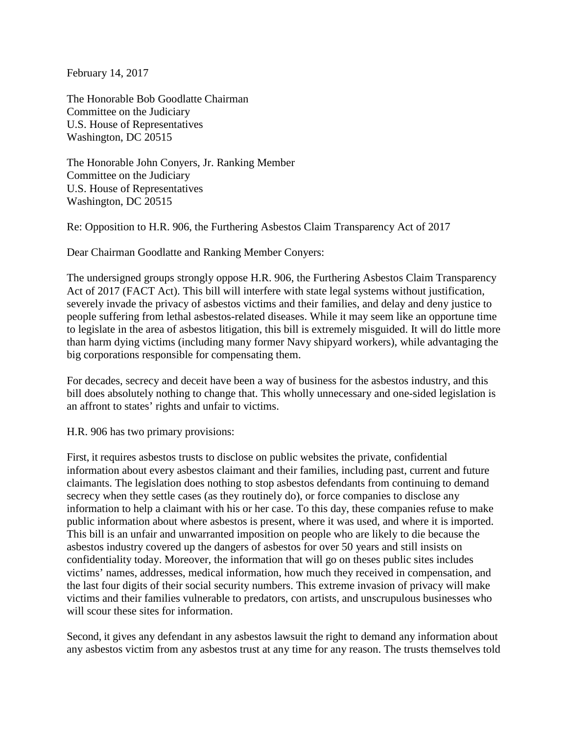February 14, 2017

The Honorable Bob Goodlatte Chairman Committee on the Judiciary U.S. House of Representatives Washington, DC 20515

The Honorable John Conyers, Jr. Ranking Member Committee on the Judiciary U.S. House of Representatives Washington, DC 20515

Re: Opposition to H.R. 906, the Furthering Asbestos Claim Transparency Act of 2017

Dear Chairman Goodlatte and Ranking Member Conyers:

The undersigned groups strongly oppose H.R. 906, the Furthering Asbestos Claim Transparency Act of 2017 (FACT Act). This bill will interfere with state legal systems without justification, severely invade the privacy of asbestos victims and their families, and delay and deny justice to people suffering from lethal asbestos-related diseases. While it may seem like an opportune time to legislate in the area of asbestos litigation, this bill is extremely misguided. It will do little more than harm dying victims (including many former Navy shipyard workers), while advantaging the big corporations responsible for compensating them.

For decades, secrecy and deceit have been a way of business for the asbestos industry, and this bill does absolutely nothing to change that. This wholly unnecessary and one-sided legislation is an affront to states' rights and unfair to victims.

H.R. 906 has two primary provisions:

First, it requires asbestos trusts to disclose on public websites the private, confidential information about every asbestos claimant and their families, including past, current and future claimants. The legislation does nothing to stop asbestos defendants from continuing to demand secrecy when they settle cases (as they routinely do), or force companies to disclose any information to help a claimant with his or her case. To this day, these companies refuse to make public information about where asbestos is present, where it was used, and where it is imported. This bill is an unfair and unwarranted imposition on people who are likely to die because the asbestos industry covered up the dangers of asbestos for over 50 years and still insists on confidentiality today. Moreover, the information that will go on theses public sites includes victims' names, addresses, medical information, how much they received in compensation, and the last four digits of their social security numbers. This extreme invasion of privacy will make victims and their families vulnerable to predators, con artists, and unscrupulous businesses who will scour these sites for information.

Second, it gives any defendant in any asbestos lawsuit the right to demand any information about any asbestos victim from any asbestos trust at any time for any reason. The trusts themselves told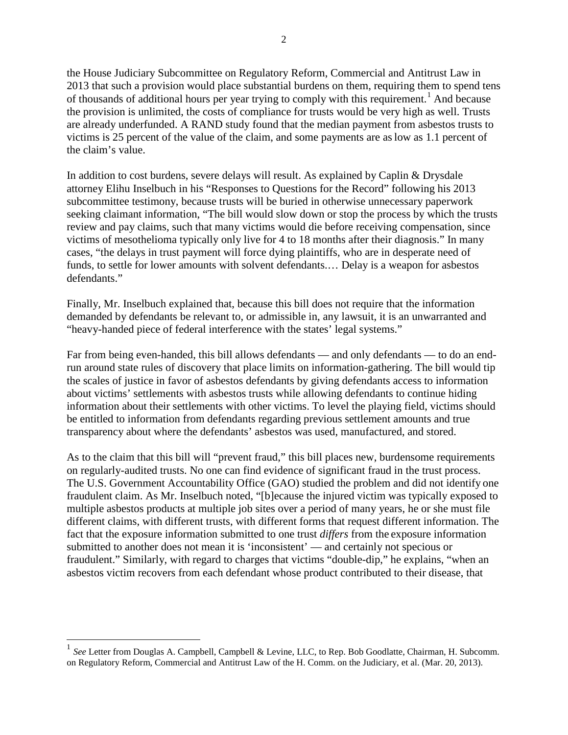the House Judiciary Subcommittee on Regulatory Reform, Commercial and Antitrust Law in 2013 that such a provision would place substantial burdens on them, requiring them to spend tens of thousands of additional hours per year trying to comply with this requirement.<sup>[1](#page-1-0)</sup> And because the provision is unlimited, the costs of compliance for trusts would be very high as well. Trusts are already underfunded. A RAND study found that the median payment from asbestos trusts to victims is 25 percent of the value of the claim, and some payments are aslow as 1.1 percent of the claim's value.

In addition to cost burdens, severe delays will result. As explained by Caplin & Drysdale attorney Elihu Inselbuch in his "Responses to Questions for the Record" following his 2013 subcommittee testimony, because trusts will be buried in otherwise unnecessary paperwork seeking claimant information, "The bill would slow down or stop the process by which the trusts review and pay claims, such that many victims would die before receiving compensation, since victims of mesothelioma typically only live for 4 to 18 months after their diagnosis." In many cases, "the delays in trust payment will force dying plaintiffs, who are in desperate need of funds, to settle for lower amounts with solvent defendants.… Delay is a weapon for asbestos defendants."

Finally, Mr. Inselbuch explained that, because this bill does not require that the information demanded by defendants be relevant to, or admissible in, any lawsuit, it is an unwarranted and "heavy-handed piece of federal interference with the states' legal systems."

Far from being even-handed, this bill allows defendants — and only defendants — to do an endrun around state rules of discovery that place limits on information-gathering. The bill would tip the scales of justice in favor of asbestos defendants by giving defendants access to information about victims' settlements with asbestos trusts while allowing defendants to continue hiding information about their settlements with other victims. To level the playing field, victims should be entitled to information from defendants regarding previous settlement amounts and true transparency about where the defendants' asbestos was used, manufactured, and stored.

As to the claim that this bill will "prevent fraud," this bill places new, burdensome requirements on regularly-audited trusts. No one can find evidence of significant fraud in the trust process. The U.S. Government Accountability Office (GAO) studied the problem and did not identify one fraudulent claim. As Mr. Inselbuch noted, "[b]ecause the injured victim was typically exposed to multiple asbestos products at multiple job sites over a period of many years, he or she must file different claims, with different trusts, with different forms that request different information. The fact that the exposure information submitted to one trust *differs* from the exposure information submitted to another does not mean it is 'inconsistent' — and certainly not specious or fraudulent." Similarly, with regard to charges that victims "double-dip," he explains, "when an asbestos victim recovers from each defendant whose product contributed to their disease, that

<span id="page-1-0"></span> <sup>1</sup> *See* Letter from Douglas A. Campbell, Campbell & Levine, LLC, to Rep. Bob Goodlatte, Chairman, H. Subcomm. on Regulatory Reform, Commercial and Antitrust Law of the H. Comm. on the Judiciary, et al. (Mar. 20, 2013).